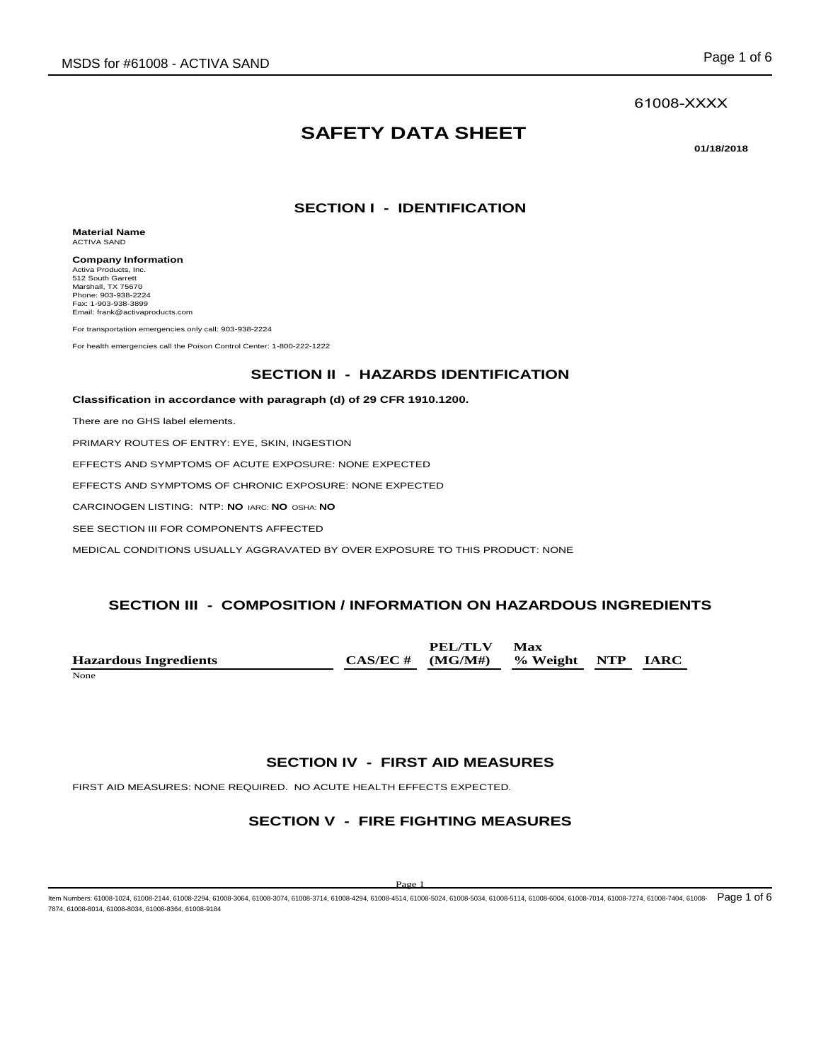#### 61008-XXXX

# **SAFETY DATA SHEET**

**01/18/2018** 

## **SECTION I - IDENTIFICATION**

**Material Name** ACTIVA SAND

**Company Information** Activa Products, Inc. 512 South Garrett Marshall, TX 75670 Phone: 903-938-2224 Fax: 1-903-938-3899 Email: frank@activaproducts.com

For transportation emergencies only call: 903-938-2224

For health emergencies call the Poison Control Center: 1-800-222-1222

#### **SECTION II - HAZARDS IDENTIFICATION**

**Classification in accordance with paragraph (d) of 29 CFR 1910.1200.**

There are no GHS label elements.

PRIMARY ROUTES OF ENTRY: EYE, SKIN, INGESTION

EFFECTS AND SYMPTOMS OF ACUTE EXPOSURE: NONE EXPECTED

EFFECTS AND SYMPTOMS OF CHRONIC EXPOSURE: NONE EXPECTED

CARCINOGEN LISTING: NTP: **NO** IARC: **NO** OSHA: **NO**

SEE SECTION III FOR COMPONENTS AFFECTED

MEDICAL CONDITIONS USUALLY AGGRAVATED BY OVER EXPOSURE TO THIS PRODUCT: NONE

### **SECTION III - COMPOSITION / INFORMATION ON HAZARDOUS INGREDIENTS**

**PEL/TLV PEL** 

**Max** 

|                              | PEL/ILV                               | NIax |  |
|------------------------------|---------------------------------------|------|--|
| <b>Hazardous Ingredients</b> | $CAS/EC \#$ (MG/M#) % Weight NTP IARC |      |  |
| None                         |                                       |      |  |

#### **SECTION IV - FIRST AID MEASURES**

FIRST AID MEASURES: NONE REQUIRED. NO ACUTE HEALTH EFFECTS EXPECTED.

### **SECTION V - FIRE FIGHTING MEASURES**

ltem Numbers: 61008-1024, 61008-2144, 61008-2294, 61008-3064, 61008-3074, 61008-3714, 61008-4994, 61008-514, 61008-5034, 61008-5114, 61008-6004, 61008-6004, 61008-7014, 61008-774, 61008-7214, 61008-7214, 61008-7214, 61008-7874, 61008-8014, 61008-8034, 61008-8364, 61008-9184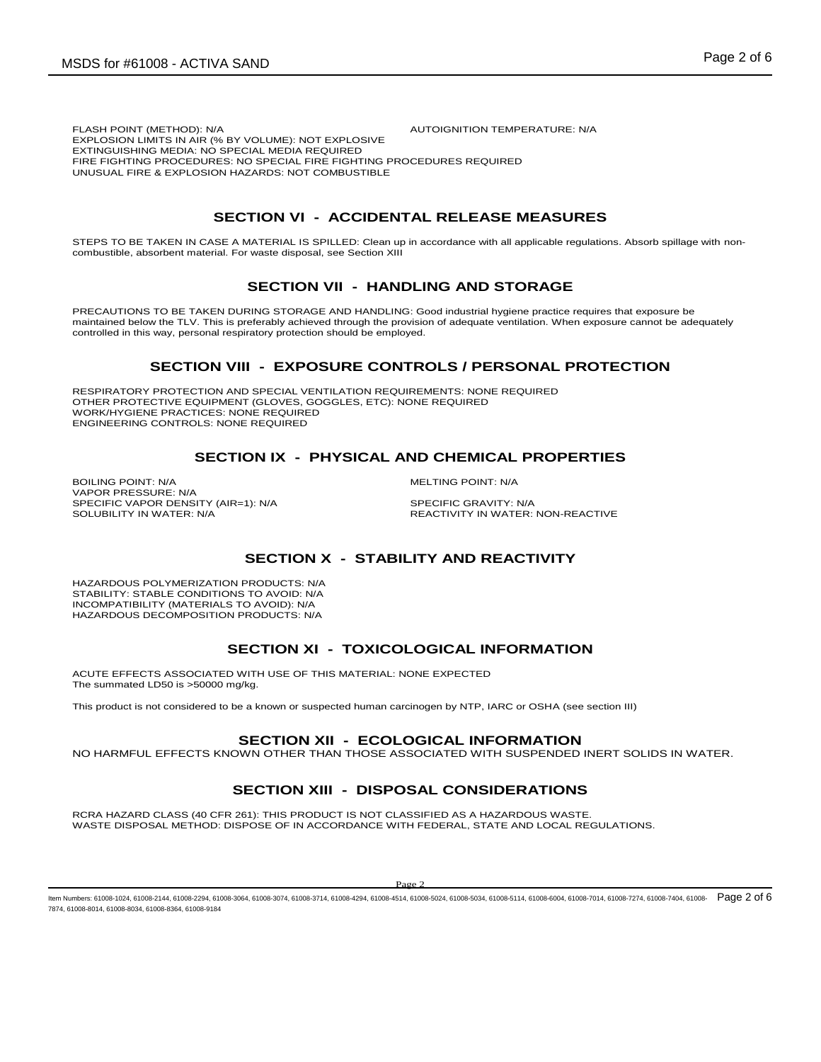# **SECTION VI - ACCIDENTAL RELEASE MEASURES**

STEPS TO BE TAKEN IN CASE A MATERIAL IS SPILLED: Clean up in accordance with all applicable regulations. Absorb spillage with noncombustible, absorbent material. For waste disposal, see Section XIII

#### **SECTION VII - HANDLING AND STORAGE**

PRECAUTIONS TO BE TAKEN DURING STORAGE AND HANDLING: Good industrial hygiene practice requires that exposure be maintained below the TLV. This is preferably achieved through the provision of adequate ventilation. When exposure cannot be adequately controlled in this way, personal respiratory protection should be employed.

#### **SECTION VIII - EXPOSURE CONTROLS / PERSONAL PROTECTION**

RESPIRATORY PROTECTION AND SPECIAL VENTILATION REQUIREMENTS: NONE REQUIRED OTHER PROTECTIVE EQUIPMENT (GLOVES, GOGGLES, ETC): NONE REQUIRED WORK/HYGIENE PRACTICES: NONE REQUIRED ENGINEERING CONTROLS: NONE REQUIRED

## **SECTION IX - PHYSICAL AND CHEMICAL PROPERTIES**

BOILING POINT: N/A MELTING POINT: N/A VAPOR PRESSURE: N/A SPECIFIC VAPOR DENSITY (AIR=1): N/A SPECIFIC GRAVITY: N/A SOLUBILITY IN WATER:<br>SOLUBILITY IN WATER: N/A

REACTIVITY IN WATER: NON-REACTIVE

## **SECTION X - STABILITY AND REACTIVITY**

HAZARDOUS POLYMERIZATION PRODUCTS: N/A STABILITY: STABLE CONDITIONS TO AVOID: N/A INCOMPATIBILITY (MATERIALS TO AVOID): N/A HAZARDOUS DECOMPOSITION PRODUCTS: N/A

## **SECTION XI - TOXICOLOGICAL INFORMATION**

ACUTE EFFECTS ASSOCIATED WITH USE OF THIS MATERIAL: NONE EXPECTED The summated LD50 is >50000 mg/kg.

This product is not considered to be a known or suspected human carcinogen by NTP, IARC or OSHA (see section III)

#### **SECTION XII - ECOLOGICAL INFORMATION**

NO HARMFUL EFFECTS KNOWN OTHER THAN THOSE ASSOCIATED WITH SUSPENDED INERT SOLIDS IN WATER.

## **SECTION XIII - DISPOSAL CONSIDERATIONS**

RCRA HAZARD CLASS (40 CFR 261): THIS PRODUCT IS NOT CLASSIFIED AS A HAZARDOUS WASTE. WASTE DISPOSAL METHOD: DISPOSE OF IN ACCORDANCE WITH FEDERAL, STATE AND LOCAL REGULATIONS.

ltem Numbers: 61008-1024, 61008-2144, 61008-2294, 61008-3064, 61008-3074, 61008-3714, 61008-4994, 61008-514, 61008-5034, 61008-5114, 61008-6004, 61008-7014, 61008-774, 61008-7014, 61008-7274, 61008-7214, 61008-7274, 61008-7874, 61008-8014, 61008-8034, 61008-8364, 61008-9184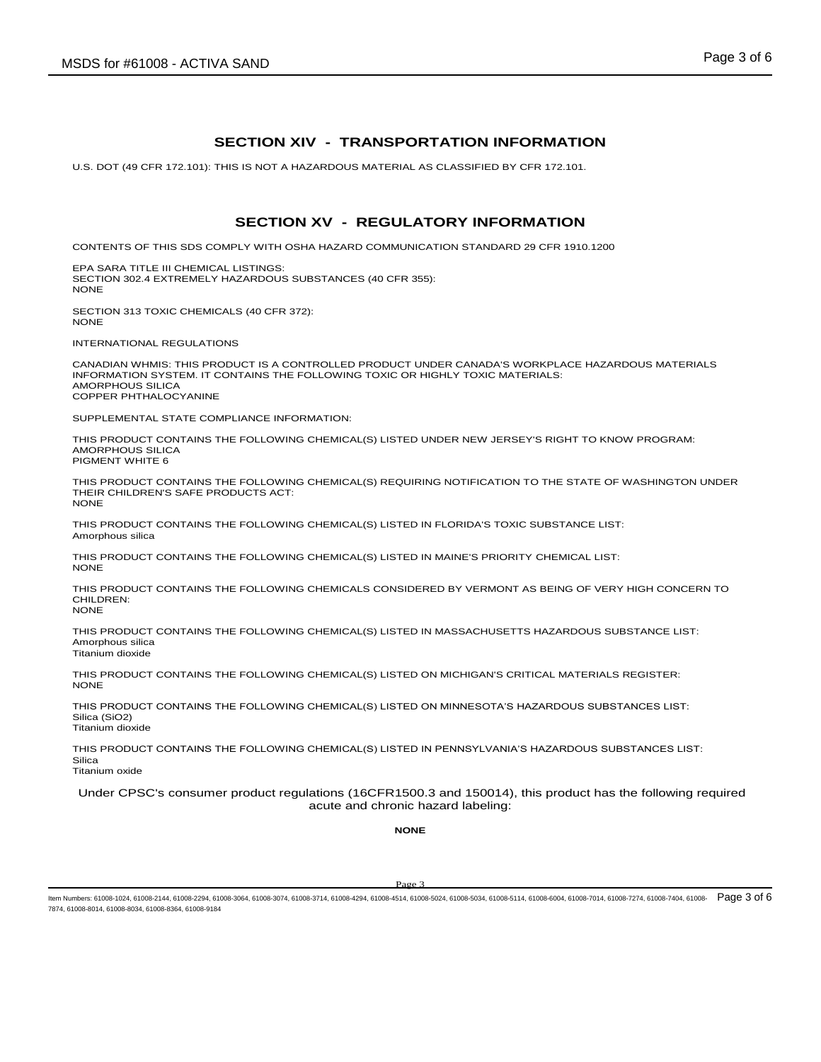#### **SECTION XIV - TRANSPORTATION INFORMATION**

U.S. DOT (49 CFR 172.101): THIS IS NOT A HAZARDOUS MATERIAL AS CLASSIFIED BY CFR 172.101.

### **SECTION XV - REGULATORY INFORMATION**

CONTENTS OF THIS SDS COMPLY WITH OSHA HAZARD COMMUNICATION STANDARD 29 CFR 1910.1200

EPA SARA TITLE III CHEMICAL LISTINGS: SECTION 302.4 EXTREMELY HAZARDOUS SUBSTANCES (40 CFR 355): **NONE** 

SECTION 313 TOXIC CHEMICALS (40 CFR 372): NONE

INTERNATIONAL REGULATIONS

CANADIAN WHMIS: THIS PRODUCT IS A CONTROLLED PRODUCT UNDER CANADA'S WORKPLACE HAZARDOUS MATERIALS INFORMATION SYSTEM. IT CONTAINS THE FOLLOWING TOXIC OR HIGHLY TOXIC MATERIALS: AMORPHOUS SILICA COPPER PHTHALOCYANINE

SUPPLEMENTAL STATE COMPLIANCE INFORMATION:

THIS PRODUCT CONTAINS THE FOLLOWING CHEMICAL(S) LISTED UNDER NEW JERSEY'S RIGHT TO KNOW PROGRAM: AMORPHOUS SILICA PIGMENT WHITE 6

THIS PRODUCT CONTAINS THE FOLLOWING CHEMICAL(S) REQUIRING NOTIFICATION TO THE STATE OF WASHINGTON UNDER THEIR CHILDREN'S SAFE PRODUCTS ACT: **NONE** 

THIS PRODUCT CONTAINS THE FOLLOWING CHEMICAL(S) LISTED IN FLORIDA'S TOXIC SUBSTANCE LIST: Amorphous silica

THIS PRODUCT CONTAINS THE FOLLOWING CHEMICAL(S) LISTED IN MAINE'S PRIORITY CHEMICAL LIST: NONE

THIS PRODUCT CONTAINS THE FOLLOWING CHEMICALS CONSIDERED BY VERMONT AS BEING OF VERY HIGH CONCERN TO CHILDREN: NONE

THIS PRODUCT CONTAINS THE FOLLOWING CHEMICAL(S) LISTED IN MASSACHUSETTS HAZARDOUS SUBSTANCE LIST: Amorphous silica Titanium dioxide

THIS PRODUCT CONTAINS THE FOLLOWING CHEMICAL(S) LISTED ON MICHIGAN'S CRITICAL MATERIALS REGISTER: NONE

THIS PRODUCT CONTAINS THE FOLLOWING CHEMICAL(S) LISTED ON MINNESOTA'S HAZARDOUS SUBSTANCES LIST: Silica (SiO2) Titanium dioxide

THIS PRODUCT CONTAINS THE FOLLOWING CHEMICAL(S) LISTED IN PENNSYLVANIA'S HAZARDOUS SUBSTANCES LIST: Silica

Titanium oxide

Under CPSC's consumer product regulations (16CFR1500.3 and 150014), this product has the following required acute and chronic hazard labeling:

**NONE**

ltem Numbers: 61008-1024, 61008-2144, 61008-2294, 61008-3064, 61008-3074, 61008-3714, 61008-4994, 61008-514, 61008-5034, 61008-5114, 61008-6004, 61008-6004, 61008-7014, 61008-774, 61008-7274, 61008-7214, 61008-004, 61008-7 7874, 61008-8014, 61008-8034, 61008-8364, 61008-9184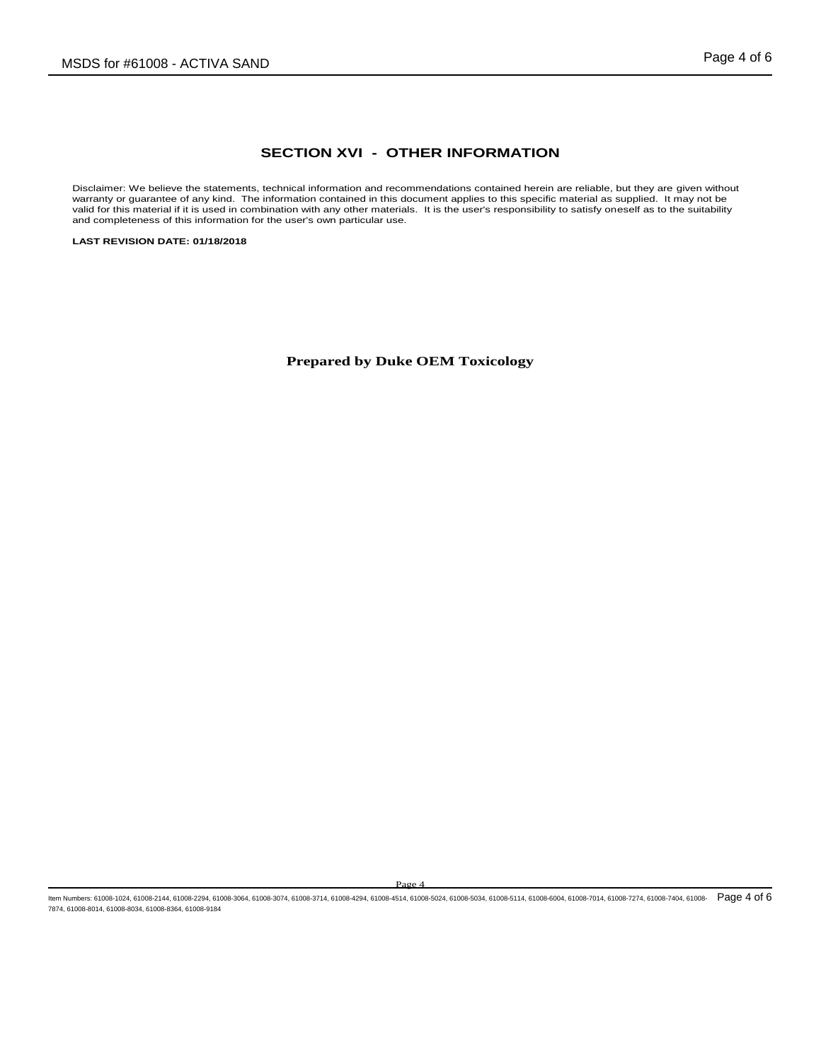## **SECTION XVI - OTHER INFORMATION**

Disclaimer: We believe the statements, technical information and recommendations contained herein are reliable, but they are given without warranty or guarantee of any kind. The information contained in this document appli

**LAST REVISION DATE: 01/18/2018**

**Prepared by Duke OEM Toxicology**

Page 4

ltem Numbers: 61008-1024, 61008-2144, 61008-2294, 61008-3064, 61008-3074, 61008-3714, 61008-4994, 61008-514, 61008-5034, 61008-5114, 61008-6004, 61008-7014, 61008-774, 61008-7014, 61008-7274, 61008-7214, 61008-7274, 61008-7874, 61008-8014, 61008-8034, 61008-8364, 61008-9184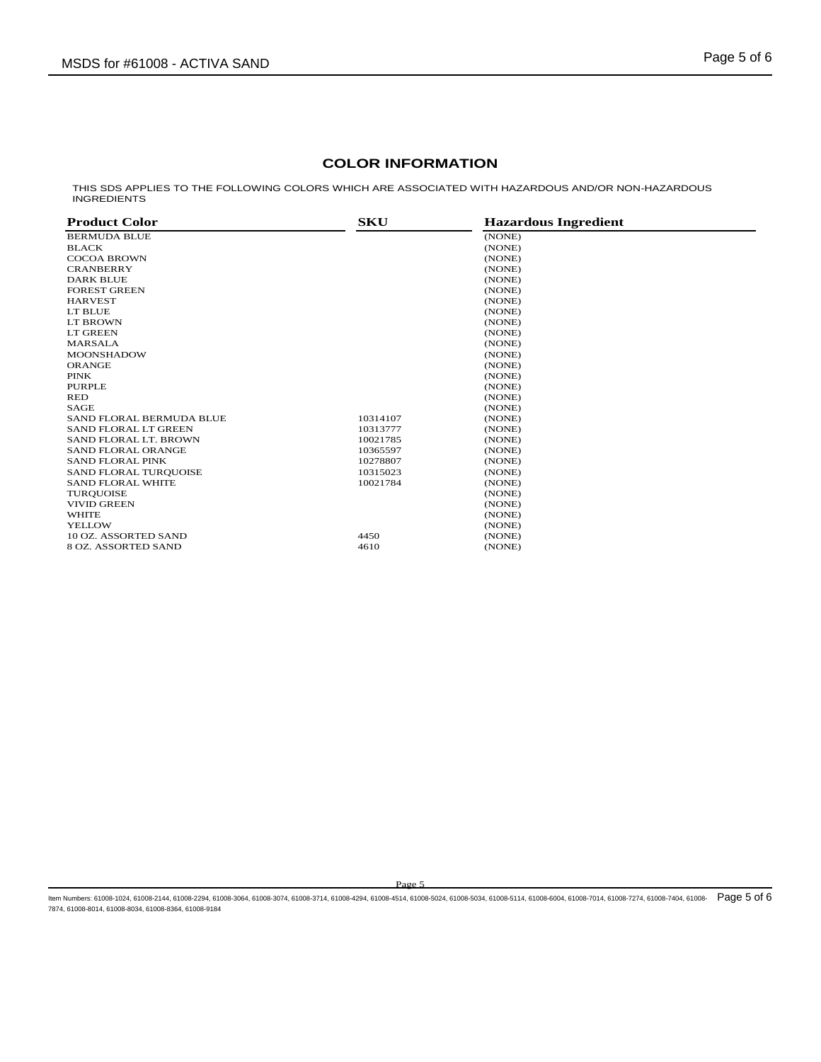# **COLOR INFORMATION**

THIS SDS APPLIES TO THE FOLLOWING COLORS WHICH ARE ASSOCIATED WITH HAZARDOUS AND/OR NON-HAZARDOUS INGREDIENTS

| <b>Product Color</b>      | <b>SKU</b> | <b>Hazardous Ingredient</b> |  |
|---------------------------|------------|-----------------------------|--|
| <b>BERMUDA BLUE</b>       |            | (NONE)                      |  |
| <b>BLACK</b>              |            | (NONE)                      |  |
| <b>COCOA BROWN</b>        |            | (NONE)                      |  |
| <b>CRANBERRY</b>          |            | (NONE)                      |  |
| <b>DARK BLUE</b>          |            | (NONE)                      |  |
| <b>FOREST GREEN</b>       |            | (NONE)                      |  |
| <b>HARVEST</b>            |            | (NONE)                      |  |
| LT BLUE                   |            | (NONE)                      |  |
| LT BROWN                  |            | (NONE)                      |  |
| LT GREEN                  |            | (NONE)                      |  |
| <b>MARSALA</b>            |            | (NONE)                      |  |
| <b>MOONSHADOW</b>         |            | (NONE)                      |  |
| <b>ORANGE</b>             |            | (NONE)                      |  |
| <b>PINK</b>               |            | (NONE)                      |  |
| <b>PURPLE</b>             |            | (NONE)                      |  |
| <b>RED</b>                |            | (NONE)                      |  |
| <b>SAGE</b>               |            | (NONE)                      |  |
| SAND FLORAL BERMUDA BLUE  | 10314107   | (NONE)                      |  |
| SAND FLORAL LT GREEN      | 10313777   | (NONE)                      |  |
| SAND FLORAL LT. BROWN     | 10021785   | (NONE)                      |  |
| <b>SAND FLORAL ORANGE</b> | 10365597   | (NONE)                      |  |
| <b>SAND FLORAL PINK</b>   | 10278807   | (NONE)                      |  |
| SAND FLORAL TURQUOISE     | 10315023   | (NONE)                      |  |
| <b>SAND FLORAL WHITE</b>  | 10021784   | (NONE)                      |  |
| <b>TURQUOISE</b>          |            | (NONE)                      |  |
| <b>VIVID GREEN</b>        |            | (NONE)                      |  |
| <b>WHITE</b>              |            | (NONE)                      |  |
| <b>YELLOW</b>             |            | (NONE)                      |  |
| 10 OZ. ASSORTED SAND      | 4450       | (NONE)                      |  |
| 8 OZ. ASSORTED SAND       | 4610       | (NONE)                      |  |

Page 5

ltem Numbers: 61008-1024, 61008-2144, 61008-2294, 61008-3064, 61008-3074, 61008-3714, 61008-4994, 61008-514, 61008-5034, 61008-5114, 61008-6004, 61008-6004, 61008-7014, 61008-774, 61008-7214, 61008-7214, 61008-7214, 61008-7874, 61008-8014, 61008-8034, 61008-8364, 61008-9184